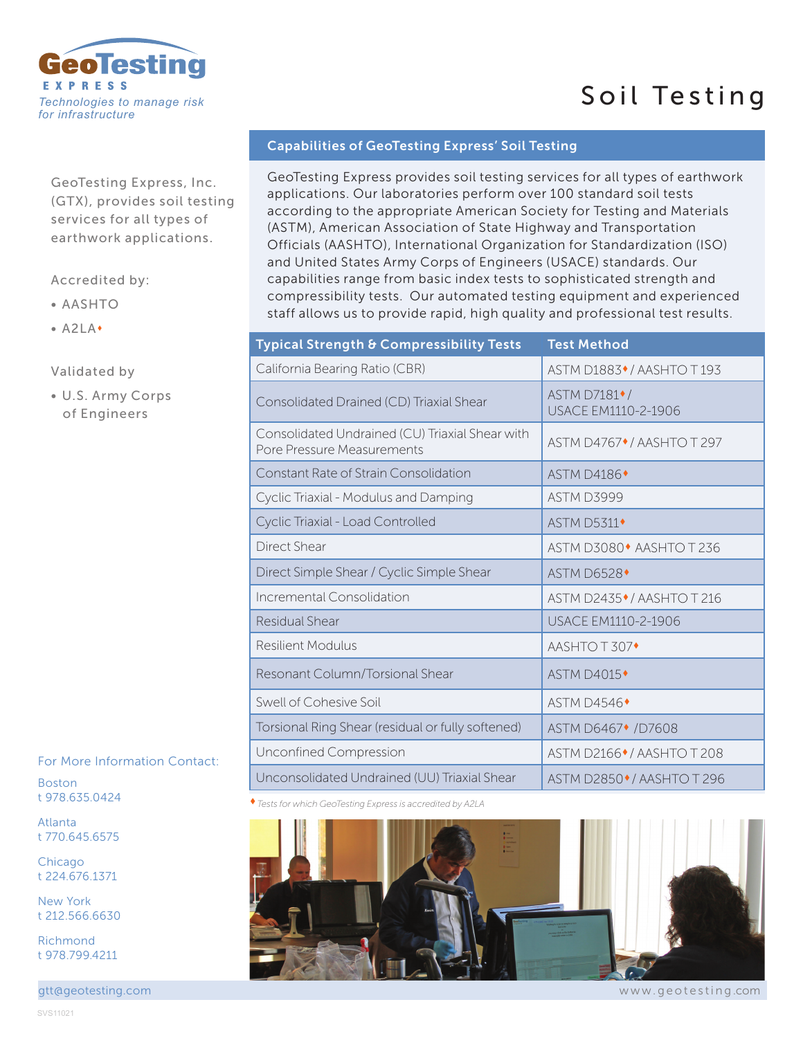

## GeoTesting Express, Inc. (GTX), provides soil testing services for all types of earthwork applications.

## Accredited by:

- AASHTO
- $\bullet$  A2LA $\bullet$

## Validated by

• U.S. Army Corps of Engineers

For More Information Contact:

Boston t 978.635.0424

Atlanta t 770.645.6575

**Chicago** t 224.676.1371

New York t 212.566.6630

Richmond t 978.799.4211

gtt@geotesting.com

## Capabilities of GeoTesting Express' Soil Testing

GeoTesting Express provides soil testing services for all types of earthwork applications. Our laboratories perform over 100 standard soil tests according to the appropriate American Society for Testing and Materials (ASTM), American Association of State Highway and Transportation Officials (AASHTO), International Organization for Standardization (ISO) and United States Army Corps of Engineers (USACE) standards. Our capabilities range from basic index tests to sophisticated strength and compressibility tests. Our automated testing equipment and experienced staff allows us to provide rapid, high quality and professional test results.

Soil Testing

| Typical Strength & Compressibility Tests                                      | <b>Test Method</b>                                      |
|-------------------------------------------------------------------------------|---------------------------------------------------------|
| California Bearing Ratio (CBR)                                                | ASTM D1883 <sup>+</sup> /AASHTO T193                    |
| Consolidated Drained (CD) Triaxial Shear                                      | ASTM D7181 <sup>+</sup> /<br><b>USACE EM1110-2-1906</b> |
| Consolidated Undrained (CU) Triaxial Shear with<br>Pore Pressure Measurements | ASTM D4767 <sup>+</sup> /AASHTO T 297                   |
| Constant Rate of Strain Consolidation                                         | <b>ASTM D4186</b>                                       |
| Cyclic Triaxial - Modulus and Damping                                         | ASTM D3999                                              |
| Cyclic Triaxial - Load Controlled                                             | <b>ASTM D5311</b>                                       |
| <b>Direct Shear</b>                                                           | ASTM D3080 <sup>+</sup> AASHTO T 236                    |
| Direct Simple Shear / Cyclic Simple Shear                                     | <b>ASTM D6528</b>                                       |
| Incremental Consolidation                                                     | ASTM D2435 <sup>+</sup> /AASHTO T 216                   |
| Residual Shear                                                                | USACE EM1110-2-1906                                     |
| <b>Resilient Modulus</b>                                                      | AASHTO T 307◆                                           |
| Resonant Column/Torsional Shear                                               | <b>ASTM D4015</b>                                       |
| Swell of Cohesive Soil                                                        | <b>ASTM D4546</b>                                       |
| Torsional Ring Shear (residual or fully softened)                             | ASTM D6467 <sup>+</sup> /D7608                          |
| Unconfined Compression                                                        | ASTM D2166 CAASHTO T 208                                |
| Unconsolidated Undrained (UU) Triaxial Shear                                  | ASTM D2850 <sup>.</sup> / AASHTO T 296                  |

*Tests for which GeoTesting Express is accredited by A2LA* 



www.geotesting .com